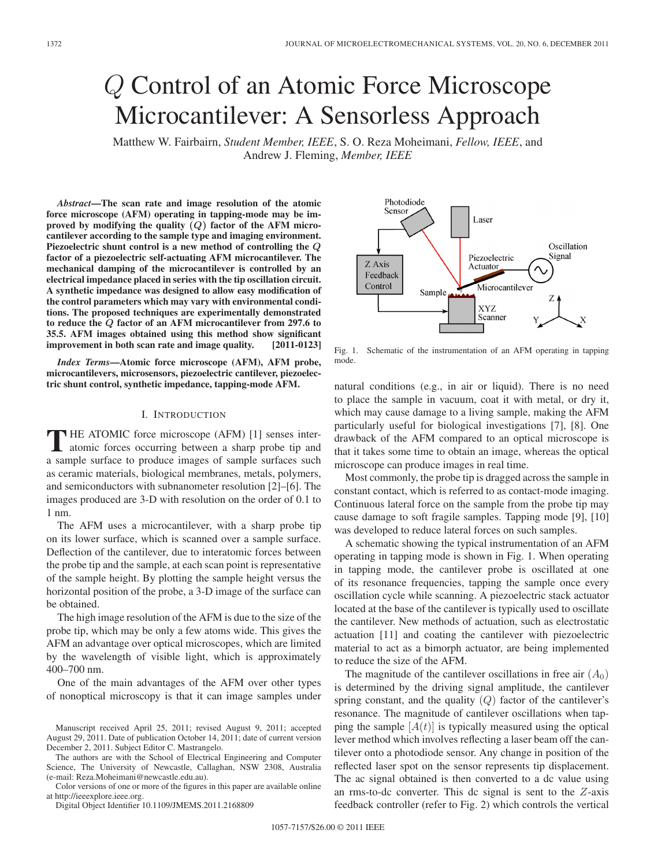# Q Control of an Atomic Force Microscope Microcantilever: A Sensorless Approach

Matthew W. Fairbairn, *Student Member, IEEE*, S. O. Reza Moheimani, *Fellow, IEEE*, and Andrew J. Fleming, *Member, IEEE*

*Abstract***—The scan rate and image resolution of the atomic force microscope (AFM) operating in tapping-mode may be improved by modifying the quality (***Q***) factor of the AFM microcantilever according to the sample type and imaging environment. Piezoelectric shunt control is a new method of controlling the** *Q* **factor of a piezoelectric self-actuating AFM microcantilever. The mechanical damping of the microcantilever is controlled by an electrical impedance placed in series with the tip oscillation circuit. A synthetic impedance was designed to allow easy modification of the control parameters which may vary with environmental conditions. The proposed techniques are experimentally demonstrated to reduce the** *Q* **factor of an AFM microcantilever from 297.6 to 35.5. AFM images obtained using this method show significant improvement in both scan rate and image quality. [2011-0123]**

*Index Terms***—Atomic force microscope (AFM), AFM probe, microcantilevers, microsensors, piezoelectric cantilever, piezoelectric shunt control, synthetic impedance, tapping-mode AFM.**

# I. INTRODUCTION

**T** HE ATOMIC force microscope (AFM) [1] senses interatomic forces occurring between a sharp probe tip and a sample surface to produce images of sample surfaces such as ceramic materials, biological membranes, metals, polymers, and semiconductors with subnanometer resolution [2]–[6]. The images produced are 3-D with resolution on the order of 0.1 to 1 nm.

The AFM uses a microcantilever, with a sharp probe tip on its lower surface, which is scanned over a sample surface. Deflection of the cantilever, due to interatomic forces between the probe tip and the sample, at each scan point is representative of the sample height. By plotting the sample height versus the horizontal position of the probe, a 3-D image of the surface can be obtained.

The high image resolution of the AFM is due to the size of the probe tip, which may be only a few atoms wide. This gives the AFM an advantage over optical microscopes, which are limited by the wavelength of visible light, which is approximately 400–700 nm.

One of the main advantages of the AFM over other types of nonoptical microscopy is that it can image samples under

The authors are with the School of Electrical Engineering and Computer Science, The University of Newcastle, Callaghan, NSW 2308, Australia (e-mail: Reza.Moheimani@newcastle.edu.au).

Color versions of one or more of the figures in this paper are available online at http://ieeexplore.ieee.org.

Digital Object Identifier 10.1109/JMEMS.2011.2168809



Fig. 1. Schematic of the instrumentation of an AFM operating in tapping mode.

natural conditions (e.g., in air or liquid). There is no need to place the sample in vacuum, coat it with metal, or dry it, which may cause damage to a living sample, making the AFM particularly useful for biological investigations [7], [8]. One drawback of the AFM compared to an optical microscope is that it takes some time to obtain an image, whereas the optical microscope can produce images in real time.

Most commonly, the probe tip is dragged across the sample in constant contact, which is referred to as contact-mode imaging. Continuous lateral force on the sample from the probe tip may cause damage to soft fragile samples. Tapping mode [9], [10] was developed to reduce lateral forces on such samples.

A schematic showing the typical instrumentation of an AFM operating in tapping mode is shown in Fig. 1. When operating in tapping mode, the cantilever probe is oscillated at one of its resonance frequencies, tapping the sample once every oscillation cycle while scanning. A piezoelectric stack actuator located at the base of the cantilever is typically used to oscillate the cantilever. New methods of actuation, such as electrostatic actuation [11] and coating the cantilever with piezoelectric material to act as a bimorph actuator, are being implemented to reduce the size of the AFM.

The magnitude of the cantilever oscillations in free air  $(A_0)$ is determined by the driving signal amplitude, the cantilever spring constant, and the quality  $(Q)$  factor of the cantilever's resonance. The magnitude of cantilever oscillations when tapping the sample  $[A(t)]$  is typically measured using the optical lever method which involves reflecting a laser beam off the cantilever onto a photodiode sensor. Any change in position of the reflected laser spot on the sensor represents tip displacement. The ac signal obtained is then converted to a dc value using an rms-to-dc converter. This dc signal is sent to the Z-axis feedback controller (refer to Fig. 2) which controls the vertical

Manuscript received April 25, 2011; revised August 9, 2011; accepted August 29, 2011. Date of publication October 14, 2011; date of current version December 2, 2011. Subject Editor C. Mastrangelo.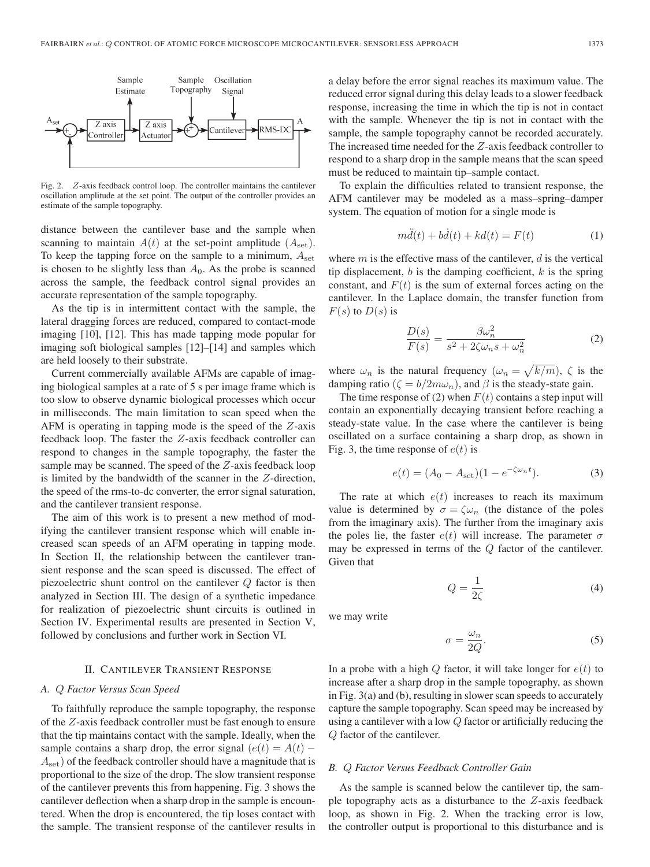

Fig. 2. Z-axis feedback control loop. The controller maintains the cantilever oscillation amplitude at the set point. The output of the controller provides an estimate of the sample topography.

distance between the cantilever base and the sample when scanning to maintain  $A(t)$  at the set-point amplitude  $(A<sub>set</sub>)$ . To keep the tapping force on the sample to a minimum,  $A_{\text{set}}$ is chosen to be slightly less than  $A_0$ . As the probe is scanned across the sample, the feedback control signal provides an accurate representation of the sample topography.

As the tip is in intermittent contact with the sample, the lateral dragging forces are reduced, compared to contact-mode imaging [10], [12]. This has made tapping mode popular for imaging soft biological samples [12]–[14] and samples which are held loosely to their substrate.

Current commercially available AFMs are capable of imaging biological samples at a rate of 5 s per image frame which is too slow to observe dynamic biological processes which occur in milliseconds. The main limitation to scan speed when the AFM is operating in tapping mode is the speed of the Z-axis feedback loop. The faster the Z-axis feedback controller can respond to changes in the sample topography, the faster the sample may be scanned. The speed of the Z-axis feedback loop is limited by the bandwidth of the scanner in the Z-direction, the speed of the rms-to-dc converter, the error signal saturation, and the cantilever transient response.

The aim of this work is to present a new method of modifying the cantilever transient response which will enable increased scan speeds of an AFM operating in tapping mode. In Section II, the relationship between the cantilever transient response and the scan speed is discussed. The effect of piezoelectric shunt control on the cantilever Q factor is then analyzed in Section III. The design of a synthetic impedance for realization of piezoelectric shunt circuits is outlined in Section IV. Experimental results are presented in Section V, followed by conclusions and further work in Section VI.

#### II. CANTILEVER TRANSIENT RESPONSE

#### *A.* Q *Factor Versus Scan Speed*

To faithfully reproduce the sample topography, the response of the Z-axis feedback controller must be fast enough to ensure that the tip maintains contact with the sample. Ideally, when the sample contains a sharp drop, the error signal  $(e(t) = A(t) A_{\rm set}$ ) of the feedback controller should have a magnitude that is proportional to the size of the drop. The slow transient response of the cantilever prevents this from happening. Fig. 3 shows the cantilever deflection when a sharp drop in the sample is encountered. When the drop is encountered, the tip loses contact with the sample. The transient response of the cantilever results in

a delay before the error signal reaches its maximum value. The reduced error signal during this delay leads to a slower feedback response, increasing the time in which the tip is not in contact with the sample. Whenever the tip is not in contact with the sample, the sample topography cannot be recorded accurately. The increased time needed for the Z-axis feedback controller to respond to a sharp drop in the sample means that the scan speed must be reduced to maintain tip–sample contact.

To explain the difficulties related to transient response, the AFM cantilever may be modeled as a mass–spring–damper system. The equation of motion for a single mode is

$$
m\ddot{d}(t) + b\dot{d}(t) + kd(t) = F(t)
$$
\n(1)

where  $m$  is the effective mass of the cantilever,  $d$  is the vertical tip displacement,  $b$  is the damping coefficient,  $k$  is the spring constant, and  $F(t)$  is the sum of external forces acting on the cantilever. In the Laplace domain, the transfer function from  $F(s)$  to  $D(s)$  is

$$
\frac{D(s)}{F(s)} = \frac{\beta \omega_n^2}{s^2 + 2\zeta \omega_n s + \omega_n^2}
$$
 (2)

where  $\omega_n$  is the natural frequency  $(\omega_n = \sqrt{k/m})$ ,  $\zeta$  is the damping ratio ( $\zeta = b/2m\omega_n$ ), and  $\beta$  is the steady-state gain.

The time response of (2) when  $F(t)$  contains a step input will contain an exponentially decaying transient before reaching a steady-state value. In the case where the cantilever is being oscillated on a surface containing a sharp drop, as shown in Fig. 3, the time response of  $e(t)$  is

$$
e(t) = (A_0 - A_{\rm set})(1 - e^{-\zeta \omega_n t}).
$$
\n(3)

The rate at which  $e(t)$  increases to reach its maximum value is determined by  $\sigma = \zeta \omega_n$  (the distance of the poles from the imaginary axis). The further from the imaginary axis the poles lie, the faster  $e(t)$  will increase. The parameter  $\sigma$ may be expressed in terms of the Q factor of the cantilever. Given that

$$
Q = \frac{1}{2\zeta} \tag{4}
$$

we may write

$$
\sigma = \frac{\omega_n}{2Q}.\tag{5}
$$

In a probe with a high  $Q$  factor, it will take longer for  $e(t)$  to increase after a sharp drop in the sample topography, as shown in Fig. 3(a) and (b), resulting in slower scan speeds to accurately capture the sample topography. Scan speed may be increased by using a cantilever with a low Q factor or artificially reducing the Q factor of the cantilever.

## *B.* Q *Factor Versus Feedback Controller Gain*

As the sample is scanned below the cantilever tip, the sample topography acts as a disturbance to the Z-axis feedback loop, as shown in Fig. 2. When the tracking error is low, the controller output is proportional to this disturbance and is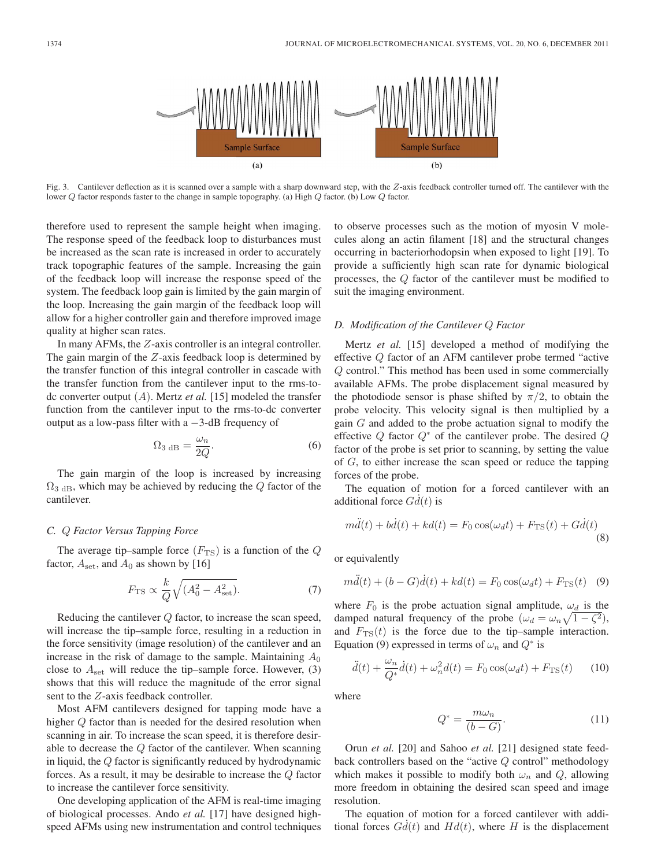

Fig. 3. Cantilever deflection as it is scanned over a sample with a sharp downward step, with the Z-axis feedback controller turned off. The cantilever with the lower Q factor responds faster to the change in sample topography. (a) High Q factor. (b) Low Q factor.

therefore used to represent the sample height when imaging. The response speed of the feedback loop to disturbances must be increased as the scan rate is increased in order to accurately track topographic features of the sample. Increasing the gain of the feedback loop will increase the response speed of the system. The feedback loop gain is limited by the gain margin of the loop. Increasing the gain margin of the feedback loop will allow for a higher controller gain and therefore improved image quality at higher scan rates.

In many AFMs, the Z-axis controller is an integral controller. The gain margin of the Z-axis feedback loop is determined by the transfer function of this integral controller in cascade with the transfer function from the cantilever input to the rms-todc converter output (A). Mertz *et al.* [15] modeled the transfer function from the cantilever input to the rms-to-dc converter output as a low-pass filter with a −3-dB frequency of

$$
\Omega_{3\text{ dB}} = \frac{\omega_n}{2Q}.\tag{6}
$$

The gain margin of the loop is increased by increasing  $\Omega_{3 \text{ dB}}$ , which may be achieved by reducing the Q factor of the cantilever.

## *C.* Q *Factor Versus Tapping Force*

The average tip–sample force  $(F_{TS})$  is a function of the Q factor,  $A_{\text{set}}$ , and  $A_0$  as shown by [16]

$$
F_{\rm TS} \propto \frac{k}{Q} \sqrt{(A_0^2 - A_{\rm set}^2)}.
$$
 (7)

Reducing the cantilever Q factor, to increase the scan speed, will increase the tip–sample force, resulting in a reduction in the force sensitivity (image resolution) of the cantilever and an increase in the risk of damage to the sample. Maintaining  $A_0$ close to  $A_{\text{set}}$  will reduce the tip–sample force. However, (3) shows that this will reduce the magnitude of the error signal sent to the Z-axis feedback controller.

Most AFM cantilevers designed for tapping mode have a higher Q factor than is needed for the desired resolution when scanning in air. To increase the scan speed, it is therefore desirable to decrease the Q factor of the cantilever. When scanning in liquid, the Q factor is significantly reduced by hydrodynamic forces. As a result, it may be desirable to increase the Q factor to increase the cantilever force sensitivity.

One developing application of the AFM is real-time imaging of biological processes. Ando *et al.* [17] have designed highspeed AFMs using new instrumentation and control techniques to observe processes such as the motion of myosin V molecules along an actin filament [18] and the structural changes occurring in bacteriorhodopsin when exposed to light [19]. To provide a sufficiently high scan rate for dynamic biological processes, the Q factor of the cantilever must be modified to suit the imaging environment.

# *D. Modification of the Cantilever* Q *Factor*

Mertz *et al.* [15] developed a method of modifying the effective Q factor of an AFM cantilever probe termed "active Q control." This method has been used in some commercially available AFMs. The probe displacement signal measured by the photodiode sensor is phase shifted by  $\pi/2$ , to obtain the probe velocity. This velocity signal is then multiplied by a gain  $G$  and added to the probe actuation signal to modify the effective  $Q$  factor  $Q^*$  of the cantilever probe. The desired  $Q$ factor of the probe is set prior to scanning, by setting the value of G, to either increase the scan speed or reduce the tapping forces of the probe.

The equation of motion for a forced cantilever with an additional force  $Gd(t)$  is

$$
m\ddot{d}(t) + b\dot{d}(t) + kd(t) = F_0 \cos(\omega_d t) + F_{\text{TS}}(t) + G\dot{d}(t)
$$
\n(8)

or equivalently

$$
m\ddot{d}(t) + (b - G)\dot{d}(t) + kd(t) = F_0 \cos(\omega_d t) + F_{\text{TS}}(t) \quad (9)
$$

where  $F_0$  is the probe actuation signal amplitude,  $\omega_d$  is the damped natural frequency of the probe  $(\omega_d = \omega_n \sqrt{1 - \zeta^2})$ , and  $F_{\text{TS}}(t)$  is the force due to the tip–sample interaction. Equation (9) expressed in terms of  $\omega_n$  and  $Q^*$  is

$$
\ddot{d}(t) + \frac{\omega_n}{Q^*}\dot{d}(t) + \omega_n^2 d(t) = F_0 \cos(\omega_d t) + F_{\text{TS}}(t) \tag{10}
$$

where

$$
Q^* = \frac{m\omega_n}{(b-G)}.\tag{11}
$$

Orun *et al.* [20] and Sahoo *et al.* [21] designed state feedback controllers based on the "active Q control" methodology which makes it possible to modify both  $\omega_n$  and  $Q$ , allowing more freedom in obtaining the desired scan speed and image resolution.

The equation of motion for a forced cantilever with additional forces  $Gd(t)$  and  $Hd(t)$ , where H is the displacement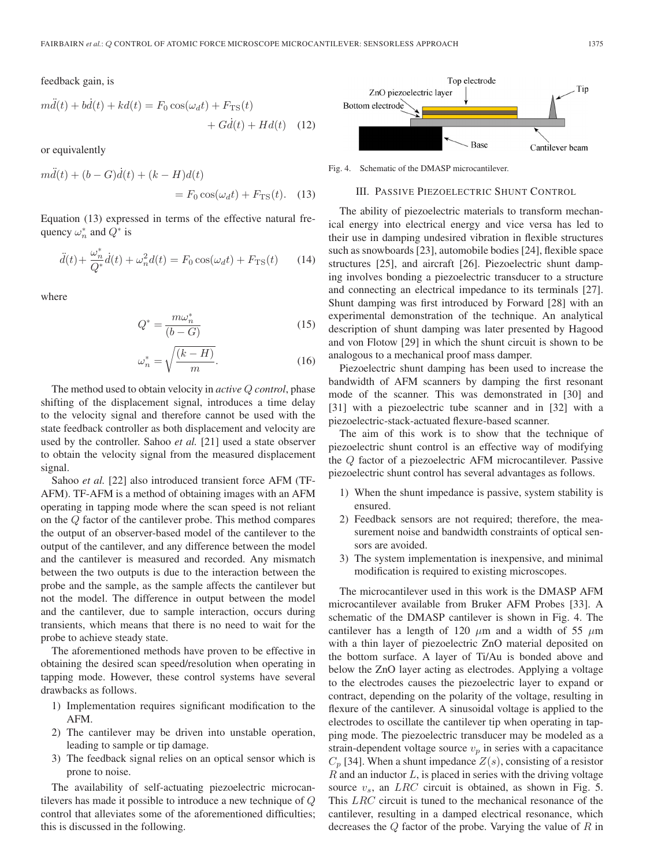feedback gain, is

$$
m\ddot{d}(t) + b\dot{d}(t) + kd(t) = F_0 \cos(\omega_d t) + F_{\text{TS}}(t)
$$

$$
+ G\dot{d}(t) + Hd(t) \quad (12)
$$

or equivalently

$$
m\ddot{d}(t) + (b - G)\dot{d}(t) + (k - H)d(t)
$$
  
=  $F_0 \cos(\omega_d t) + F_{\text{TS}}(t)$ . (13)

Equation (13) expressed in terms of the effective natural frequency  $\omega_n^*$  and  $Q^*$  is

$$
\ddot{d}(t) + \frac{\omega_n^*}{Q^*} \dot{d}(t) + \omega_n^2 d(t) = F_0 \cos(\omega_d t) + F_{\text{TS}}(t) \tag{14}
$$

where

$$
Q^* = \frac{m\omega_n^*}{(b - G)}\tag{15}
$$

$$
\omega_n^* = \sqrt{\frac{(k-H)}{m}}.\tag{16}
$$

The method used to obtain velocity in *active* Q *control*, phase shifting of the displacement signal, introduces a time delay to the velocity signal and therefore cannot be used with the state feedback controller as both displacement and velocity are used by the controller. Sahoo *et al.* [21] used a state observer to obtain the velocity signal from the measured displacement signal.

Sahoo *et al.* [22] also introduced transient force AFM (TF-AFM). TF-AFM is a method of obtaining images with an AFM operating in tapping mode where the scan speed is not reliant on the Q factor of the cantilever probe. This method compares the output of an observer-based model of the cantilever to the output of the cantilever, and any difference between the model and the cantilever is measured and recorded. Any mismatch between the two outputs is due to the interaction between the probe and the sample, as the sample affects the cantilever but not the model. The difference in output between the model and the cantilever, due to sample interaction, occurs during transients, which means that there is no need to wait for the probe to achieve steady state.

The aforementioned methods have proven to be effective in obtaining the desired scan speed/resolution when operating in tapping mode. However, these control systems have several drawbacks as follows.

- 1) Implementation requires significant modification to the AFM.
- 2) The cantilever may be driven into unstable operation, leading to sample or tip damage.
- 3) The feedback signal relies on an optical sensor which is prone to noise.

The availability of self-actuating piezoelectric microcantilevers has made it possible to introduce a new technique of Q control that alleviates some of the aforementioned difficulties; this is discussed in the following.

Top electrode Tin ZnO piezoelectric layer Bottom electrode **Base** Cantilever beam

Fig. 4. Schematic of the DMASP microcantilever.

# III. PASSIVE PIEZOELECTRIC SHUNT CONTROL

The ability of piezoelectric materials to transform mechanical energy into electrical energy and vice versa has led to their use in damping undesired vibration in flexible structures such as snowboards [23], automobile bodies [24], flexible space structures [25], and aircraft [26]. Piezoelectric shunt damping involves bonding a piezoelectric transducer to a structure and connecting an electrical impedance to its terminals [27]. Shunt damping was first introduced by Forward [28] with an experimental demonstration of the technique. An analytical description of shunt damping was later presented by Hagood and von Flotow [29] in which the shunt circuit is shown to be analogous to a mechanical proof mass damper.

Piezoelectric shunt damping has been used to increase the bandwidth of AFM scanners by damping the first resonant mode of the scanner. This was demonstrated in [30] and [31] with a piezoelectric tube scanner and in [32] with a piezoelectric-stack-actuated flexure-based scanner.

The aim of this work is to show that the technique of piezoelectric shunt control is an effective way of modifying the Q factor of a piezoelectric AFM microcantilever. Passive piezoelectric shunt control has several advantages as follows.

- 1) When the shunt impedance is passive, system stability is ensured.
- 2) Feedback sensors are not required; therefore, the measurement noise and bandwidth constraints of optical sensors are avoided.
- 3) The system implementation is inexpensive, and minimal modification is required to existing microscopes.

The microcantilever used in this work is the DMASP AFM microcantilever available from Bruker AFM Probes [33]. A schematic of the DMASP cantilever is shown in Fig. 4. The cantilever has a length of 120  $\mu$ m and a width of 55  $\mu$ m with a thin layer of piezoelectric ZnO material deposited on the bottom surface. A layer of Ti/Au is bonded above and below the ZnO layer acting as electrodes. Applying a voltage to the electrodes causes the piezoelectric layer to expand or contract, depending on the polarity of the voltage, resulting in flexure of the cantilever. A sinusoidal voltage is applied to the electrodes to oscillate the cantilever tip when operating in tapping mode. The piezoelectric transducer may be modeled as a strain-dependent voltage source  $v_p$  in series with a capacitance  $C_p$  [34]. When a shunt impedance  $Z(s)$ , consisting of a resistor  $R$  and an inductor  $L$ , is placed in series with the driving voltage source  $v_s$ , an LRC circuit is obtained, as shown in Fig. 5. This LRC circuit is tuned to the mechanical resonance of the cantilever, resulting in a damped electrical resonance, which decreases the  $Q$  factor of the probe. Varying the value of  $R$  in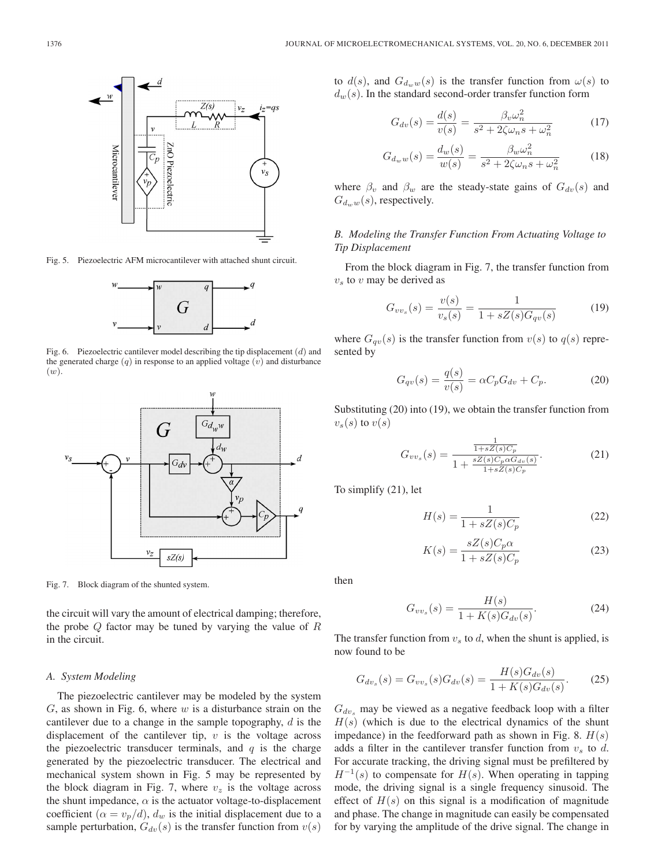

Fig. 5. Piezoelectric AFM microcantilever with attached shunt circuit.



Fig. 6. Piezoelectric cantilever model describing the tip displacement (d) and the generated charge  $(q)$  in response to an applied voltage  $(v)$  and disturbance  $(w).$ 



Fig. 7. Block diagram of the shunted system.

the circuit will vary the amount of electrical damping; therefore, the probe  $Q$  factor may be tuned by varying the value of  $R$ in the circuit.

## *A. System Modeling*

The piezoelectric cantilever may be modeled by the system  $G$ , as shown in Fig. 6, where  $w$  is a disturbance strain on the cantilever due to a change in the sample topography,  $d$  is the displacement of the cantilever tip,  $v$  is the voltage across the piezoelectric transducer terminals, and  $q$  is the charge generated by the piezoelectric transducer. The electrical and mechanical system shown in Fig. 5 may be represented by the block diagram in Fig. 7, where  $v<sub>z</sub>$  is the voltage across the shunt impedance,  $\alpha$  is the actuator voltage-to-displacement coefficient ( $\alpha = v_p/d$ ),  $d_w$  is the initial displacement due to a sample perturbation,  $G_{dv}(s)$  is the transfer function from  $v(s)$  to  $d(s)$ , and  $G_{d_w w}(s)$  is the transfer function from  $\omega(s)$  to  $d_w(s)$ . In the standard second-order transfer function form

$$
G_{dv}(s) = \frac{d(s)}{v(s)} = \frac{\beta_v \omega_n^2}{s^2 + 2\zeta \omega_n s + \omega_n^2}
$$
 (17)

$$
G_{d_w w}(s) = \frac{d_w(s)}{w(s)} = \frac{\beta_w \omega_n^2}{s^2 + 2\zeta \omega_n s + \omega_n^2}
$$
(18)

where  $\beta_v$  and  $\beta_w$  are the steady-state gains of  $G_{dv}(s)$  and  $G_{d_w w}(s)$ , respectively.

# *B. Modeling the Transfer Function From Actuating Voltage to Tip Displacement*

From the block diagram in Fig. 7, the transfer function from  $v<sub>s</sub>$  to v may be derived as

$$
G_{vv_s}(s) = \frac{v(s)}{v_s(s)} = \frac{1}{1 + sZ(s)G_{qv}(s)}\tag{19}
$$

where  $G_{qv}(s)$  is the transfer function from  $v(s)$  to  $q(s)$  represented by

$$
G_{qv}(s) = \frac{q(s)}{v(s)} = \alpha C_p G_{dv} + C_p.
$$
 (20)

Substituting (20) into (19), we obtain the transfer function from  $v_s(s)$  to  $v(s)$ 

$$
G_{vv_s}(s) = \frac{\frac{1}{1+sZ(s)C_p}}{1 + \frac{sZ(s)C_p\alpha G_{dv}(s)}{1+sZ(s)C_p}}.\tag{21}
$$

To simplify (21), let

$$
H(s) = \frac{1}{1 + sZ(s)C_p} \tag{22}
$$

$$
K(s) = \frac{sZ(s)C_p\alpha}{1 + sZ(s)C_p} \tag{23}
$$

then

$$
G_{vv_s}(s) = \frac{H(s)}{1 + K(s)G_{dv}(s)}.\tag{24}
$$

The transfer function from  $v<sub>s</sub>$  to d, when the shunt is applied, is now found to be

$$
G_{dv_s}(s) = G_{vv_s}(s)G_{dv}(s) = \frac{H(s)G_{dv}(s)}{1 + K(s)G_{dv}(s)}.
$$
 (25)

 $G_{dv_s}$  may be viewed as a negative feedback loop with a filter  $H(s)$  (which is due to the electrical dynamics of the shunt impedance) in the feedforward path as shown in Fig. 8.  $H(s)$ adds a filter in the cantilever transfer function from  $v<sub>s</sub>$  to d. For accurate tracking, the driving signal must be prefiltered by  $H^{-1}(s)$  to compensate for  $H(s)$ . When operating in tapping mode, the driving signal is a single frequency sinusoid. The effect of  $H(s)$  on this signal is a modification of magnitude and phase. The change in magnitude can easily be compensated for by varying the amplitude of the drive signal. The change in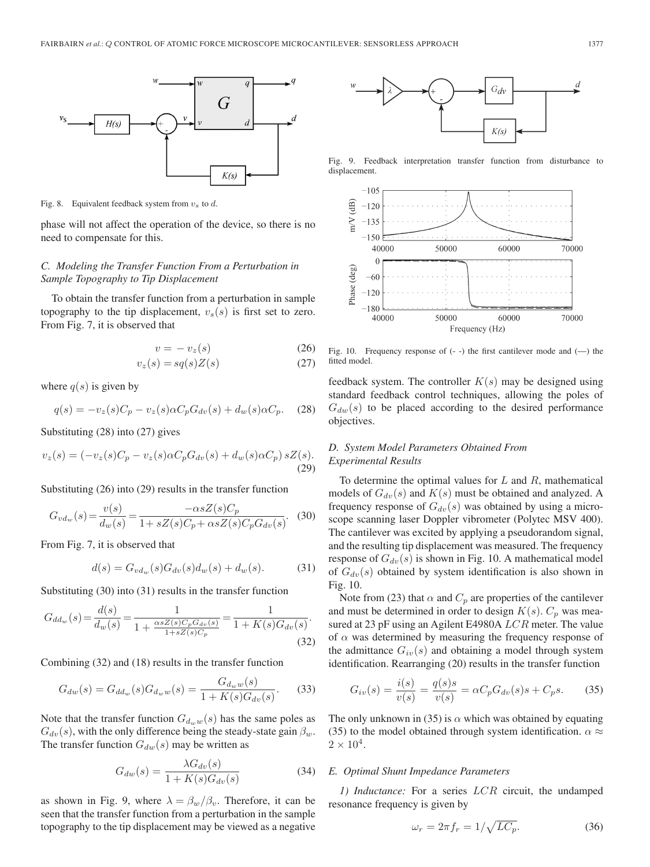

Fig. 8. Equivalent feedback system from  $v_s$  to d.

phase will not affect the operation of the device, so there is no need to compensate for this.

# *C. Modeling the Transfer Function From a Perturbation in Sample Topography to Tip Displacement*

To obtain the transfer function from a perturbation in sample topography to the tip displacement,  $v_s(s)$  is first set to zero. From Fig. 7, it is observed that

$$
v = -v_z(s) \tag{26}
$$

$$
v_z(s) = sq(s)Z(s) \tag{27}
$$

where  $q(s)$  is given by

$$
q(s) = -v_z(s)C_p - v_z(s)\alpha C_p G_{dv}(s) + d_w(s)\alpha C_p. \tag{28}
$$

Substituting (28) into (27) gives

$$
v_z(s) = (-v_z(s)C_p - v_z(s)\alpha C_p G_{dv}(s) + d_w(s)\alpha C_p) sZ(s).
$$
\n(29)

Substituting (26) into (29) results in the transfer function

$$
G_{vdw}(s) = \frac{v(s)}{d_w(s)} = \frac{-\alpha s Z(s) C_p}{1 + s Z(s) C_p + \alpha s Z(s) C_p G_{dv}(s)}.
$$
 (30)

From Fig. 7, it is observed that

$$
d(s) = G_{vd_w}(s)G_{dv}(s)d_w(s) + d_w(s).
$$
 (31)

Substituting (30) into (31) results in the transfer function

$$
G_{dd_w}(s) = \frac{d(s)}{d_w(s)} = \frac{1}{1 + \frac{\alpha s Z(s) C_p G_{dv}(s)}{1 + s Z(s) C_p}} = \frac{1}{1 + K(s) G_{dv}(s)}.
$$
\n(32)

Combining (32) and (18) results in the transfer function

$$
G_{dw}(s) = G_{dd_w}(s)G_{d_ww}(s) = \frac{G_{d_ww}(s)}{1 + K(s)G_{dv}(s)}.
$$
 (33)

Note that the transfer function  $G_{d_w w}(s)$  has the same poles as  $G_{dv}(s)$ , with the only difference being the steady-state gain  $\beta_w$ . The transfer function  $G_{dw}(s)$  may be written as

$$
G_{dw}(s) = \frac{\lambda G_{dv}(s)}{1 + K(s)G_{dv}(s)}\tag{34}
$$

as shown in Fig. 9, where  $\lambda = \beta_w/\beta_v$ . Therefore, it can be seen that the transfer function from a perturbation in the sample topography to the tip displacement may be viewed as a negative



Fig. 9. Feedback interpretation transfer function from disturbance to displacement.



Fig. 10. Frequency response of  $(-)$  the first cantilever mode and  $(-)$  the fitted model.

feedback system. The controller  $K(s)$  may be designed using standard feedback control techniques, allowing the poles of  $G_{dw}(s)$  to be placed according to the desired performance objectives.

# *D. System Model Parameters Obtained From Experimental Results*

To determine the optimal values for  $L$  and  $R$ , mathematical models of  $G_{dv}(s)$  and  $K(s)$  must be obtained and analyzed. A frequency response of  $G_{dv}(s)$  was obtained by using a microscope scanning laser Doppler vibrometer (Polytec MSV 400). The cantilever was excited by applying a pseudorandom signal, and the resulting tip displacement was measured. The frequency response of  $G_{dv}(s)$  is shown in Fig. 10. A mathematical model of  $G_{dv}(s)$  obtained by system identification is also shown in Fig. 10.

Note from (23) that  $\alpha$  and  $C_p$  are properties of the cantilever and must be determined in order to design  $K(s)$ .  $C_p$  was measured at 23 pF using an Agilent E4980A LCR meter. The value of  $\alpha$  was determined by measuring the frequency response of the admittance  $G_{iv}(s)$  and obtaining a model through system identification. Rearranging (20) results in the transfer function

$$
G_{iv}(s) = \frac{i(s)}{v(s)} = \frac{q(s)s}{v(s)} = \alpha C_p G_{dv}(s)s + C_p s.
$$
 (35)

The only unknown in (35) is  $\alpha$  which was obtained by equating (35) to the model obtained through system identification.  $\alpha \approx$  $2 \times 10^4$ .

## *E. Optimal Shunt Impedance Parameters*

*1) Inductance:* For a series LCR circuit, the undamped resonance frequency is given by

$$
\omega_r = 2\pi f_r = 1/\sqrt{LC_p}.\tag{36}
$$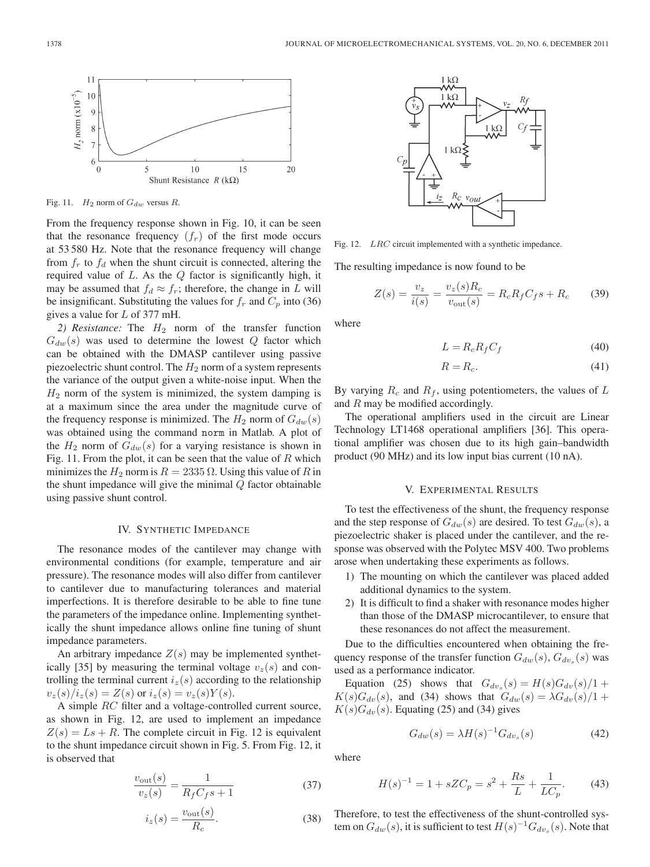

Fig. 11.  $H_2$  norm of  $G_{dw}$  versus R.

From the frequency response shown in Fig. 10, it can be seen that the resonance frequency  $(f_r)$  of the first mode occurs at 53 580 Hz. Note that the resonance frequency will change from  $f_r$  to  $f_d$  when the shunt circuit is connected, altering the required value of  $L$ . As the  $Q$  factor is significantly high, it may be assumed that  $f_d \approx f_r$ ; therefore, the change in L will be insignificant. Substituting the values for  $f_r$  and  $C_p$  into (36) gives a value for L of 377 mH.

*2) Resistance:* The H<sup>2</sup> norm of the transfer function  $G_{dw}(s)$  was used to determine the lowest Q factor which can be obtained with the DMASP cantilever using passive piezoelectric shunt control. The  $H_2$  norm of a system represents the variance of the output given a white-noise input. When the  $H_2$  norm of the system is minimized, the system damping is at a maximum since the area under the magnitude curve of the frequency response is minimized. The  $H_2$  norm of  $G_{dw}(s)$ was obtained using the command norm in Matlab. A plot of the  $H_2$  norm of  $G_{dw}(s)$  for a varying resistance is shown in Fig. 11. From the plot, it can be seen that the value of  $R$  which minimizes the  $H_2$  norm is  $R = 2335 \Omega$ . Using this value of R in the shunt impedance will give the minimal  $Q$  factor obtainable using passive shunt control.

## IV. SYNTHETIC IMPEDANCE

The resonance modes of the cantilever may change with environmental conditions (for example, temperature and air pressure). The resonance modes will also differ from cantilever to cantilever due to manufacturing tolerances and material imperfections. It is therefore desirable to be able to fine tune the parameters of the impedance online. Implementing synthetically the shunt impedance allows online fine tuning of shunt impedance parameters.

An arbitrary impedance  $Z(s)$  may be implemented synthetically [35] by measuring the terminal voltage  $v_z(s)$  and controlling the terminal current  $i_z(s)$  according to the relationship  $v_z(s)/i_z(s) = Z(s)$  or  $i_z(s) = v_z(s)Y(s)$ .

A simple RC filter and a voltage-controlled current source, as shown in Fig. 12, are used to implement an impedance  $Z(s) = Ls + R$ . The complete circuit in Fig. 12 is equivalent to the shunt impedance circuit shown in Fig. 5. From Fig. 12, it is observed that

$$
\frac{v_{\text{out}}(s)}{v_z(s)} = \frac{1}{R_f C_f s + 1} \tag{37}
$$

$$
i_z(s) = \frac{v_{\text{out}}(s)}{R_c}.
$$
\n(38)



Fig. 12. *LRC* circuit implemented with a synthetic impedance.

The resulting impedance is now found to be

$$
Z(s) = \frac{v_z}{i(s)} = \frac{v_z(s)R_c}{v_{\text{out}}(s)} = R_c R_f C_f s + R_c \tag{39}
$$

where

$$
L = R_c R_f C_f \tag{40}
$$

$$
R = R_c.
$$
 (41)

By varying  $R_c$  and  $R_f$ , using potentiometers, the values of  $L$ and R may be modified accordingly.

The operational amplifiers used in the circuit are Linear Technology LT1468 operational amplifiers [36]. This operational amplifier was chosen due to its high gain–bandwidth product (90 MHz) and its low input bias current (10 nA).

#### V. EXPERIMENTAL RESULTS

To test the effectiveness of the shunt, the frequency response and the step response of  $G_{dw}(s)$  are desired. To test  $G_{dw}(s)$ , a piezoelectric shaker is placed under the cantilever, and the response was observed with the Polytec MSV 400. Two problems arose when undertaking these experiments as follows.

- 1) The mounting on which the cantilever was placed added additional dynamics to the system.
- 2) It is difficult to find a shaker with resonance modes higher than those of the DMASP microcantilever, to ensure that these resonances do not affect the measurement.

Due to the difficulties encountered when obtaining the frequency response of the transfer function  $G_{dw}(s)$ ,  $G_{dv}(s)$  was used as a performance indicator.

Equation (25) shows that  $G_{dv_s}(s) = H(s)G_{dv_s}(s)/1 +$  $K(s)G_{dv}(s)$ , and (34) shows that  $G_{dw}(s) = \lambda G_{dv}(s)/1 +$  $K(s)G_{dv}(s)$ . Equating (25) and (34) gives

$$
G_{dw}(s) = \lambda H(s)^{-1} G_{dv_s}(s)
$$
\n(42)

where

$$
H(s)^{-1} = 1 + sZC_p = s^2 + \frac{Rs}{L} + \frac{1}{LC_p}.
$$
 (43)

Therefore, to test the effectiveness of the shunt-controlled system on  $G_{dw}(s)$ , it is sufficient to test  $H(s)^{-1}G_{dv}(s)$ . Note that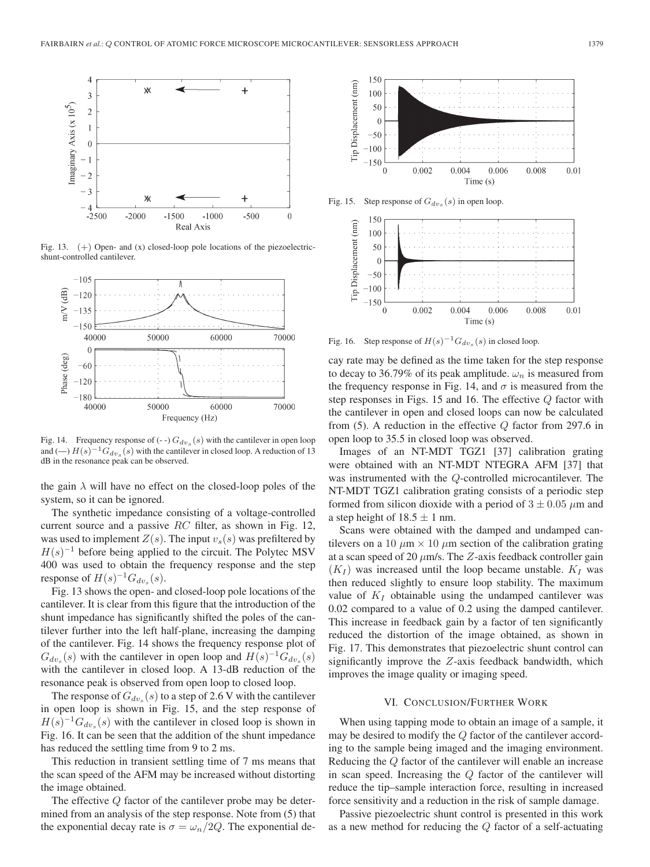

Fig. 13. (+) Open- and (x) closed-loop pole locations of the piezoelectricshunt-controlled cantilever.



Fig. 14. Frequency response of  $(-)$   $G_{dv_s}(s)$  with the cantilever in open loop and (—)  $H(s)^{-1}G_{dv_s}(s)$  with the cantilever in closed loop. A reduction of 13 dB in the resonance peak can be observed.

the gain  $\lambda$  will have no effect on the closed-loop poles of the system, so it can be ignored.

The synthetic impedance consisting of a voltage-controlled current source and a passive  $RC$  filter, as shown in Fig. 12, was used to implement  $Z(s)$ . The input  $v_s(s)$  was prefiltered by  $H(s)^{-1}$  before being applied to the circuit. The Polytec MSV 400 was used to obtain the frequency response and the step response of  $H(s)^{-1}G_{dv}(s)$ .

Fig. 13 shows the open- and closed-loop pole locations of the cantilever. It is clear from this figure that the introduction of the shunt impedance has significantly shifted the poles of the cantilever further into the left half-plane, increasing the damping of the cantilever. Fig. 14 shows the frequency response plot of  $G_{dv_s}(s)$  with the cantilever in open loop and  $H(s)^{-1}G_{dv_s}(s)$ with the cantilever in closed loop. A 13-dB reduction of the resonance peak is observed from open loop to closed loop.

The response of  $G_{dv_s}(s)$  to a step of 2.6 V with the cantilever in open loop is shown in Fig. 15, and the step response of  $H(s)^{-1}G_{dv_s}(s)$  with the cantilever in closed loop is shown in Fig. 16. It can be seen that the addition of the shunt impedance has reduced the settling time from 9 to 2 ms.

This reduction in transient settling time of 7 ms means that the scan speed of the AFM may be increased without distorting the image obtained.

The effective  $Q$  factor of the cantilever probe may be determined from an analysis of the step response. Note from (5) that the exponential decay rate is  $\sigma = \omega_n/2Q$ . The exponential de-



Fig. 15. Step response of  $G_{dv_s}(s)$  in open loop.



Fig. 16. Step response of  $H(s)^{-1}G_{dv_s}(s)$  in closed loop.

cay rate may be defined as the time taken for the step response to decay to 36.79% of its peak amplitude.  $\omega_n$  is measured from the frequency response in Fig. 14, and  $\sigma$  is measured from the step responses in Figs. 15 and 16. The effective Q factor with the cantilever in open and closed loops can now be calculated from  $(5)$ . A reduction in the effective Q factor from 297.6 in open loop to 35.5 in closed loop was observed.

Images of an NT-MDT TGZ1 [37] calibration grating were obtained with an NT-MDT NTEGRA AFM [37] that was instrumented with the Q-controlled microcantilever. The NT-MDT TGZ1 calibration grating consists of a periodic step formed from silicon dioxide with a period of  $3 \pm 0.05 \ \mu m$  and a step height of  $18.5 \pm 1$  nm.

Scans were obtained with the damped and undamped cantilevers on a 10  $\mu$ m × 10  $\mu$ m section of the calibration grating at a scan speed of 20  $\mu$ m/s. The Z-axis feedback controller gain  $(K_I)$  was increased until the loop became unstable.  $K_I$  was then reduced slightly to ensure loop stability. The maximum value of  $K_I$  obtainable using the undamped cantilever was 0.02 compared to a value of 0.2 using the damped cantilever. This increase in feedback gain by a factor of ten significantly reduced the distortion of the image obtained, as shown in Fig. 17. This demonstrates that piezoelectric shunt control can significantly improve the Z-axis feedback bandwidth, which improves the image quality or imaging speed.

## VI. CONCLUSION/FURTHER WORK

When using tapping mode to obtain an image of a sample, it may be desired to modify the Q factor of the cantilever according to the sample being imaged and the imaging environment. Reducing the Q factor of the cantilever will enable an increase in scan speed. Increasing the  $Q$  factor of the cantilever will reduce the tip–sample interaction force, resulting in increased force sensitivity and a reduction in the risk of sample damage.

Passive piezoelectric shunt control is presented in this work as a new method for reducing the Q factor of a self-actuating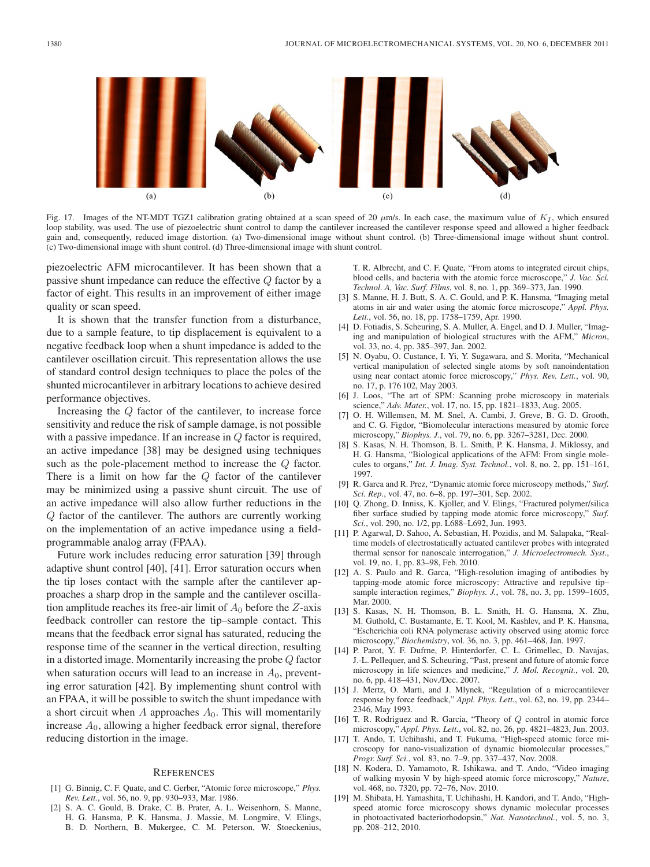

Fig. 17. Images of the NT-MDT TGZ1 calibration grating obtained at a scan speed of 20  $\mu$ m/s. In each case, the maximum value of  $K_I$ , which ensured loop stability, was used. The use of piezoelectric shunt control to damp the cantilever increased the cantilever response speed and allowed a higher feedback gain and, consequently, reduced image distortion. (a) Two-dimensional image without shunt control. (b) Three-dimensional image without shunt control. (c) Two-dimensional image with shunt control. (d) Three-dimensional image with shunt control.

piezoelectric AFM microcantilever. It has been shown that a passive shunt impedance can reduce the effective Q factor by a factor of eight. This results in an improvement of either image quality or scan speed.

It is shown that the transfer function from a disturbance, due to a sample feature, to tip displacement is equivalent to a negative feedback loop when a shunt impedance is added to the cantilever oscillation circuit. This representation allows the use of standard control design techniques to place the poles of the shunted microcantilever in arbitrary locations to achieve desired performance objectives.

Increasing the Q factor of the cantilever, to increase force sensitivity and reduce the risk of sample damage, is not possible with a passive impedance. If an increase in Q factor is required, an active impedance [38] may be designed using techniques such as the pole-placement method to increase the Q factor. There is a limit on how far the Q factor of the cantilever may be minimized using a passive shunt circuit. The use of an active impedance will also allow further reductions in the Q factor of the cantilever. The authors are currently working on the implementation of an active impedance using a fieldprogrammable analog array (FPAA).

Future work includes reducing error saturation [39] through adaptive shunt control [40], [41]. Error saturation occurs when the tip loses contact with the sample after the cantilever approaches a sharp drop in the sample and the cantilever oscillation amplitude reaches its free-air limit of  $A_0$  before the  $Z$ -axis feedback controller can restore the tip–sample contact. This means that the feedback error signal has saturated, reducing the response time of the scanner in the vertical direction, resulting in a distorted image. Momentarily increasing the probe Q factor when saturation occurs will lead to an increase in  $A_0$ , preventing error saturation [42]. By implementing shunt control with an FPAA, it will be possible to switch the shunt impedance with a short circuit when A approaches  $A_0$ . This will momentarily increase  $A_0$ , allowing a higher feedback error signal, therefore reducing distortion in the image.

#### **REFERENCES**

- [1] G. Binnig, C. F. Quate, and C. Gerber, "Atomic force microscope," *Phys. Rev. Lett.*, vol. 56, no. 9, pp. 930–933, Mar. 1986.
- [2] S. A. C. Gould, B. Drake, C. B. Prater, A. L. Weisenhorn, S. Manne, H. G. Hansma, P. K. Hansma, J. Massie, M. Longmire, V. Elings, B. D. Northern, B. Mukergee, C. M. Peterson, W. Stoeckenius,

T. R. Albrecht, and C. F. Quate, "From atoms to integrated circuit chips, blood cells, and bacteria with the atomic force microscope," *J. Vac. Sci. Technol. A, Vac. Surf. Films*, vol. 8, no. 1, pp. 369–373, Jan. 1990.

- [3] S. Manne, H. J. Butt, S. A. C. Gould, and P. K. Hansma, "Imaging metal atoms in air and water using the atomic force microscope," *Appl. Phys. Lett.*, vol. 56, no. 18, pp. 1758–1759, Apr. 1990.
- [4] D. Fotiadis, S. Scheuring, S. A. Muller, A. Engel, and D. J. Muller, "Imaging and manipulation of biological structures with the AFM," *Micron*, vol. 33, no. 4, pp. 385–397, Jan. 2002.
- [5] N. Oyabu, O. Custance, I. Yi, Y. Sugawara, and S. Morita, "Mechanical vertical manipulation of selected single atoms by soft nanoindentation using near contact atomic force microscopy," *Phys. Rev. Lett.*, vol. 90, no. 17, p. 176 102, May 2003.
- [6] J. Loos, "The art of SPM: Scanning probe microscopy in materials science," *Adv. Mater.*, vol. 17, no. 15, pp. 1821–1833, Aug. 2005.
- [7] O. H. Willemsen, M. M. Snel, A. Cambi, J. Greve, B. G. D. Grooth, and C. G. Figdor, "Biomolecular interactions measured by atomic force microscopy," *Biophys. J.*, vol. 79, no. 6, pp. 3267–3281, Dec. 2000.
- [8] S. Kasas, N. H. Thomson, B. L. Smith, P. K. Hansma, J. Miklossy, and H. G. Hansma, "Biological applications of the AFM: From single molecules to organs," *Int. J. Imag. Syst. Technol.*, vol. 8, no. 2, pp. 151–161, 1997.
- [9] R. Garca and R. Prez, "Dynamic atomic force microscopy methods," *Surf. Sci. Rep.*, vol. 47, no. 6–8, pp. 197–301, Sep. 2002.
- [10] Q. Zhong, D. Inniss, K. Kjoller, and V. Elings, "Fractured polymer/silica fiber surface studied by tapping mode atomic force microscopy," *Surf. Sci.*, vol. 290, no. 1/2, pp. L688–L692, Jun. 1993.
- [11] P. Agarwal, D. Sahoo, A. Sebastian, H. Pozidis, and M. Salapaka, "Realtime models of electrostatically actuated cantilever probes with integrated thermal sensor for nanoscale interrogation," *J. Microelectromech. Syst.*, vol. 19, no. 1, pp. 83–98, Feb. 2010.
- [12] A. S. Paulo and R. Garca, "High-resolution imaging of antibodies by tapping-mode atomic force microscopy: Attractive and repulsive tip– sample interaction regimes," *Biophys. J.*, vol. 78, no. 3, pp. 1599–1605, Mar. 2000.
- [13] S. Kasas, N. H. Thomson, B. L. Smith, H. G. Hansma, X. Zhu, M. Guthold, C. Bustamante, E. T. Kool, M. Kashlev, and P. K. Hansma, "Escherichia coli RNA polymerase activity observed using atomic force microscopy," *Biochemistry*, vol. 36, no. 3, pp. 461–468, Jan. 1997.
- [14] P. Parot, Y. F. Dufrne, P. Hinterdorfer, C. L. Grimellec, D. Navajas, J.-L. Pellequer, and S. Scheuring, "Past, present and future of atomic force microscopy in life sciences and medicine," *J. Mol. Recognit.*, vol. 20, no. 6, pp. 418–431, Nov./Dec. 2007.
- [15] J. Mertz, O. Marti, and J. Mlynek, "Regulation of a microcantilever response by force feedback," *Appl. Phys. Lett.*, vol. 62, no. 19, pp. 2344– 2346, May 1993.
- [16] T. R. Rodriguez and R. Garcia, "Theory of Q control in atomic force microscopy," *Appl. Phys. Lett.*, vol. 82, no. 26, pp. 4821–4823, Jun. 2003.
- [17] T. Ando, T. Uchihashi, and T. Fukuma, "High-speed atomic force microscopy for nano-visualization of dynamic biomolecular processes," *Progr. Surf. Sci.*, vol. 83, no. 7–9, pp. 337–437, Nov. 2008.
- [18] N. Kodera, D. Yamamoto, R. Ishikawa, and T. Ando, "Video imaging of walking myosin V by high-speed atomic force microscopy," *Nature*, vol. 468, no. 7320, pp. 72–76, Nov. 2010.
- [19] M. Shibata, H. Yamashita, T. Uchihashi, H. Kandori, and T. Ando, "Highspeed atomic force microscopy shows dynamic molecular processes in photoactivated bacteriorhodopsin," *Nat. Nanotechnol.*, vol. 5, no. 3, pp. 208–212, 2010.